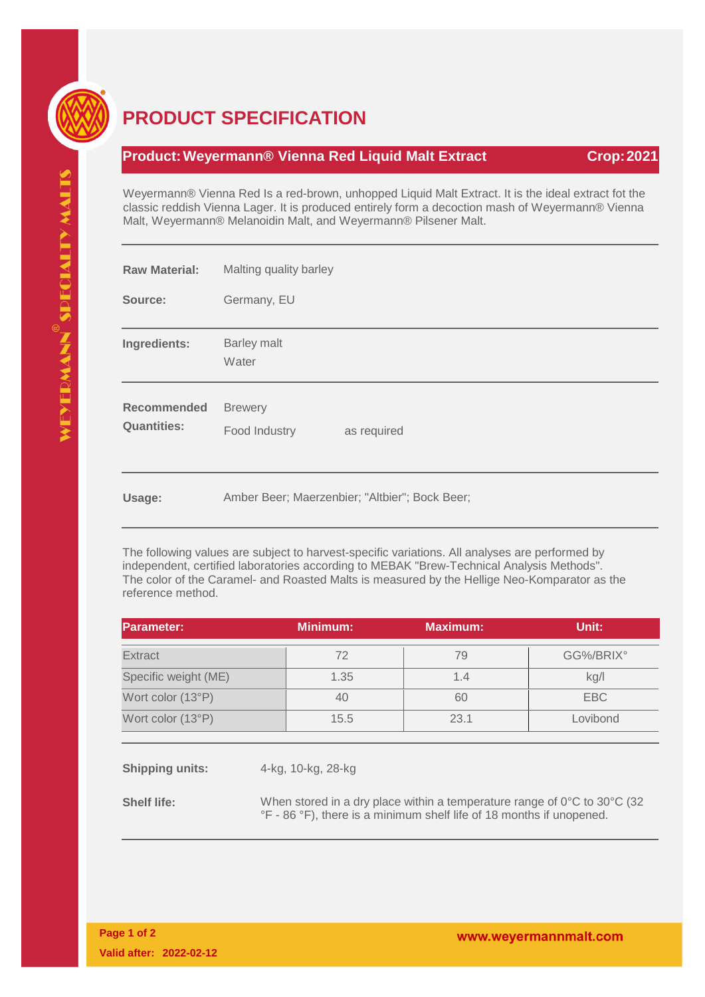

## **PRODUCT SPECIFICATION**

## **Product: Weyermann® Vienna Red Liquid Malt Extract Crop: 2021**

Weyermann® Vienna Red Is a red-brown, unhopped Liquid Malt Extract. It is the ideal extract fot the classic reddish Vienna Lager. It is produced entirely form a decoction mash of Weyermann® Vienna Malt, Weyermann® Melanoidin Malt, and Weyermann® Pilsener Malt.

| <b>Raw Material:</b>                     | Malting quality barley                         |  |  |
|------------------------------------------|------------------------------------------------|--|--|
| Source:                                  | Germany, EU                                    |  |  |
| Ingredients:                             | <b>Barley malt</b><br>Water                    |  |  |
| <b>Recommended</b><br><b>Quantities:</b> | <b>Brewery</b><br>as required<br>Food Industry |  |  |
| Usage:                                   | Amber Beer; Maerzenbier; "Altbier"; Bock Beer; |  |  |

The following values are subject to harvest-specific variations. All analyses are performed by independent, certified laboratories according to MEBAK "Brew-Technical Analysis Methods". The color of the Caramel- and Roasted Malts is measured by the Hellige Neo-Komparator as the reference method.

| <b>Parameter:</b>    | <b>Minimum:</b> | <b>Maximum:</b> | Unit:     |
|----------------------|-----------------|-----------------|-----------|
| <b>Extract</b>       | 72              | 79              | GG%/BRIX° |
| Specific weight (ME) | 1.35            | 1.4             | kg/l      |
| Wort color (13°P)    | 40              | 60              | EBC       |
| Wort color (13°P)    | 15.5            | 23.1            | Lovibond  |
|                      |                 |                 |           |

**Shipping units:** 4-kg, 10-kg, 28-kg

**Shelf life:** When stored in a dry place within a temperature range of 0°C to 30°C (32 °F - 86 °F), there is a minimum shelf life of 18 months if unopened.